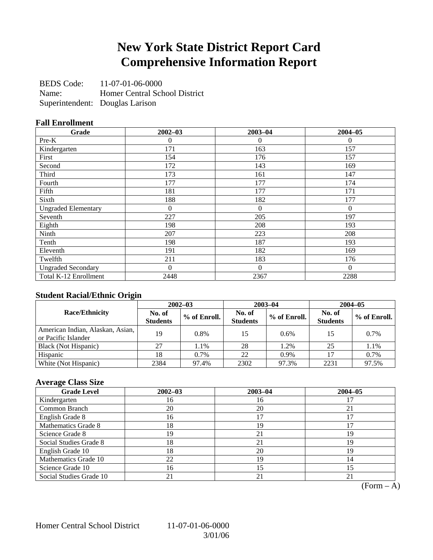# **New York State District Report Card Comprehensive Information Report**

BEDS Code: 11-07-01-06-0000 Name: Homer Central School District Superintendent: Douglas Larison

### **Fall Enrollment**

| Grade                      | $2002 - 03$ | $2003 - 04$  | $2004 - 05$ |
|----------------------------|-------------|--------------|-------------|
| Pre-K                      | 0           | $\theta$     | $\Omega$    |
| Kindergarten               | 171         | 163          | 157         |
| First                      | 154         | 176          | 157         |
| Second                     | 172         | 143          | 169         |
| Third                      | 173         | 161          | 147         |
| Fourth                     | 177         | 177          | 174         |
| Fifth                      | 181         | 177          | 171         |
| Sixth                      | 188         | 182          | 177         |
| <b>Ungraded Elementary</b> | $\theta$    | $\mathbf{0}$ | $\theta$    |
| Seventh                    | 227         | 205          | 197         |
| Eighth                     | 198         | 208          | 193         |
| Ninth                      | 207         | 223          | 208         |
| Tenth                      | 198         | 187          | 193         |
| Eleventh                   | 191         | 182          | 169         |
| Twelfth                    | 211         | 183          | 176         |
| <b>Ungraded Secondary</b>  | $\Omega$    | $\Omega$     | $\Omega$    |
| Total K-12 Enrollment      | 2448        | 2367         | 2288        |

### **Student Racial/Ethnic Origin**

|                                                         | $2002 - 03$               |              |                           | $2003 - 04$  | $2004 - 05$               |              |  |
|---------------------------------------------------------|---------------------------|--------------|---------------------------|--------------|---------------------------|--------------|--|
| <b>Race/Ethnicity</b>                                   | No. of<br><b>Students</b> | % of Enroll. | No. of<br><b>Students</b> | % of Enroll. | No. of<br><b>Students</b> | % of Enroll. |  |
| American Indian, Alaskan, Asian,<br>or Pacific Islander | 19                        | 0.8%         | 15                        | 0.6%         | 15                        | 0.7%         |  |
| Black (Not Hispanic)                                    | 27                        | 1.1%         | 28                        | 1.2%         | 25                        | 1.1%         |  |
| Hispanic                                                | 18                        | 0.7%         | 22                        | 0.9%         |                           | 0.7%         |  |
| White (Not Hispanic)                                    | 2384                      | 97.4%        | 2302                      | 97.3%        | 2231                      | 97.5%        |  |

### **Average Class Size**

| <b>Grade Level</b>      | $2002 - 03$ | $2003 - 04$ | $2004 - 05$ |
|-------------------------|-------------|-------------|-------------|
| Kindergarten            | 16          | 16          |             |
| Common Branch           | 20          | 20          | 21          |
| English Grade 8         | 16          |             |             |
| Mathematics Grade 8     | 18          | 19          |             |
| Science Grade 8         | 19          | 21          | 19          |
| Social Studies Grade 8  | 18          | 21          | 19          |
| English Grade 10        | 18          | 20          | 19          |
| Mathematics Grade 10    | 22          | 19          | 14          |
| Science Grade 10        | 16          | 15          | 15          |
| Social Studies Grade 10 | 21          | 21          | 21          |

 $(Form - A)$ 

Homer Central School District 11-07-01-06-0000

3/01/06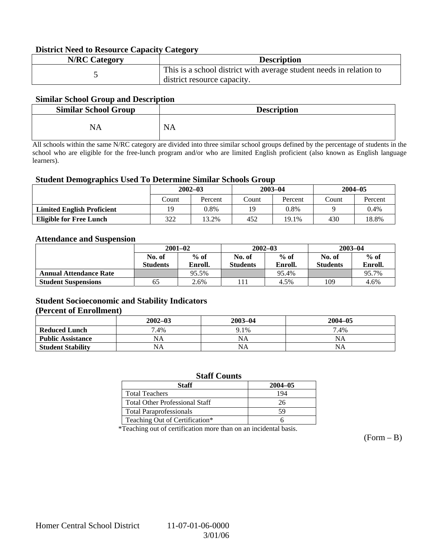#### **District Need to Resource Capacity Category**

| <b>N/RC Category</b> | <b>Description</b>                                                                                 |
|----------------------|----------------------------------------------------------------------------------------------------|
|                      | This is a school district with average student needs in relation to<br>district resource capacity. |

#### **Similar School Group and Description**

| <b>Similar School Group</b> | <b>Description</b> |
|-----------------------------|--------------------|
| NA                          | <b>NA</b>          |

All schools within the same N/RC category are divided into three similar school groups defined by the percentage of students in the school who are eligible for the free-lunch program and/or who are limited English proficient (also known as English language learners).

#### **Student Demographics Used To Determine Similar Schools Group**

|                                   | $2002 - 03$ |         |       | $2003 - 04$ | $2004 - 05$ |         |
|-----------------------------------|-------------|---------|-------|-------------|-------------|---------|
|                                   | Count       | Percent | Count | Percent     | Count       | Percent |
| <b>Limited English Proficient</b> | 19          | 0.8%    | 19    | 0.8%        |             | 0.4%    |
| <b>Eligible for Free Lunch</b>    | 322         | 13.2%   | 452   | 19.1%       | 430         | 18.8%   |

#### **Attendance and Suspension**

|                               | $2001 - 02$      |         |                  | $2002 - 03$ | $2003 - 04$     |         |
|-------------------------------|------------------|---------|------------------|-------------|-----------------|---------|
|                               | $%$ of<br>No. of |         | $%$ of<br>No. of |             | No. of          | $%$ of  |
|                               | <b>Students</b>  | Enroll. | <b>Students</b>  | Enroll.     | <b>Students</b> | Enroll. |
| <b>Annual Attendance Rate</b> |                  | 95.5%   |                  | 95.4%       |                 | 95.7%   |
| <b>Student Suspensions</b>    | 65               | 2.6%    |                  | 4.5%        | 109             | 4.6%    |

#### **Student Socioeconomic and Stability Indicators (Percent of Enrollment)**

|                          | $2002 - 03$ | $2003 - 04$ | $2004 - 05$ |
|--------------------------|-------------|-------------|-------------|
| <b>Reduced Lunch</b>     | 7.4%        | 9.1%        | 7.4%        |
| <b>Public Assistance</b> | NA          | NA          | NA          |
| <b>Student Stability</b> | NA          | <b>NA</b>   | NA          |

#### **Staff Counts**

| Staff                                 | $2004 - 05$ |
|---------------------------------------|-------------|
| <b>Total Teachers</b>                 | 194         |
| <b>Total Other Professional Staff</b> | 26          |
| <b>Total Paraprofessionals</b>        | 59          |
| Teaching Out of Certification*        |             |

\*Teaching out of certification more than on an incidental basis.

 $(Form - B)$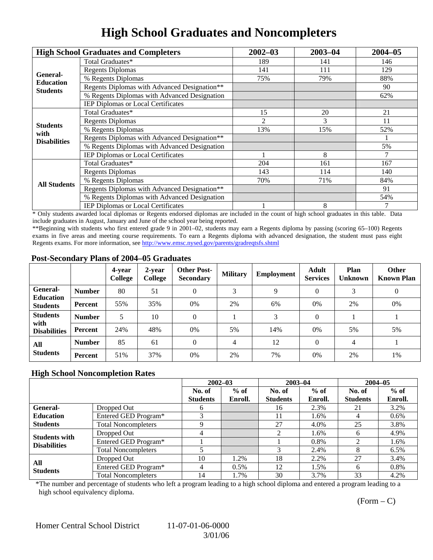# **High School Graduates and Noncompleters**

|                     | <b>High School Graduates and Completers</b>  | $2002 - 03$                | $2003 - 04$ | $2004 - 05$ |
|---------------------|----------------------------------------------|----------------------------|-------------|-------------|
|                     | Total Graduates*                             | 189                        | 141         | 146         |
| General-            | <b>Regents Diplomas</b>                      | 141                        | 111         | 129         |
| <b>Education</b>    | % Regents Diplomas                           | 75%                        | 79%         | 88%         |
| <b>Students</b>     | Regents Diplomas with Advanced Designation** |                            |             | 90          |
|                     | % Regents Diplomas with Advanced Designation |                            |             | 62%         |
|                     | IEP Diplomas or Local Certificates           |                            |             |             |
|                     | Total Graduates*                             | 15                         | 20          | 21          |
| <b>Students</b>     | <b>Regents Diplomas</b>                      | 2                          | 3           | 11          |
| with                | % Regents Diplomas                           | 13%                        | 15%         | 52%         |
| <b>Disabilities</b> | Regents Diplomas with Advanced Designation** |                            |             |             |
|                     | % Regents Diplomas with Advanced Designation |                            |             | 5%          |
|                     | IEP Diplomas or Local Certificates           |                            | 8           |             |
|                     | Total Graduates*                             | 204                        | 161         | 167         |
|                     | <b>Regents Diplomas</b>                      | 143                        | 114         | 140         |
| <b>All Students</b> | % Regents Diplomas                           | 70%<br>71%<br>91<br>8<br>7 | 84%         |             |
|                     | Regents Diplomas with Advanced Designation** |                            |             |             |
|                     | % Regents Diplomas with Advanced Designation |                            |             | 54%         |
|                     | <b>IEP Diplomas or Local Certificates</b>    |                            |             |             |

\* Only students awarded local diplomas or Regents endorsed diplomas are included in the count of high school graduates in this table. Data include graduates in August, January and June of the school year being reported.

\*\*Beginning with students who first entered grade 9 in 2001–02, students may earn a Regents diploma by passing (scoring 65–100) Regents exams in five areas and meeting course requirements. To earn a Regents diploma with advanced designation, the student must pass eight Regents exams. For more information, see http://www.emsc.nysed.gov/parents/gradreqtsfs.shtml

#### **Post-Secondary Plans of 2004–05 Graduates**

|                                                |                | 4-vear<br>College | 2-year<br>College | <b>Other Post-</b><br><b>Secondary</b> | <b>Military</b> | Employment | <b>Adult</b><br><b>Services</b> | Plan<br><b>Unknown</b> | <b>Other</b><br><b>Known Plan</b> |
|------------------------------------------------|----------------|-------------------|-------------------|----------------------------------------|-----------------|------------|---------------------------------|------------------------|-----------------------------------|
| <b>General-</b><br><b>Education</b>            | <b>Number</b>  | 80                | 51                | 0                                      | 3               | 9          | $\Omega$                        | 3                      | $\boldsymbol{0}$                  |
| <b>Students</b>                                | Percent        | 55%               | 35%               | 0%                                     | 2%              | 6%         | $0\%$                           | 2%                     | 0%                                |
| <b>Students</b><br>with<br><b>Disabilities</b> | <b>Number</b>  | 5                 | 10                | 0                                      |                 | 3          | $\Omega$                        |                        |                                   |
|                                                | Percent        | 24%               | 48%               | 0%                                     | 5%              | 14%        | $0\%$                           | 5%                     | 5%                                |
| All<br><b>Students</b>                         | <b>Number</b>  | 85                | 61                | $\Omega$                               | 4               | 12         | $\Omega$                        | 4                      |                                   |
|                                                | <b>Percent</b> | 51%               | 37%               | 0%                                     | 2%              | 7%         | 0%                              | 2%                     | 1%                                |

### **High School Noncompletion Rates**

|                        |                            | $2002 - 03$     |         | $2003 - 04$     |         | $2004 - 05$     |         |
|------------------------|----------------------------|-----------------|---------|-----------------|---------|-----------------|---------|
|                        |                            | No. of          | $%$ of  | No. of          | $%$ of  | No. of          | $%$ of  |
|                        |                            | <b>Students</b> | Enroll. | <b>Students</b> | Enroll. | <b>Students</b> | Enroll. |
| <b>General-</b>        | Dropped Out                | <sub>0</sub>    |         | 16              | 2.3%    | 21              | 3.2%    |
| <b>Education</b>       | Entered GED Program*       |                 |         | 11              | 1.6%    | 4               | $0.6\%$ |
| <b>Students</b>        | <b>Total Noncompleters</b> | Q               |         | 27              | 4.0%    | 25              | 3.8%    |
| <b>Students with</b>   | Dropped Out                |                 |         | 2               | 1.6%    | 6               | 4.9%    |
| <b>Disabilities</b>    | Entered GED Program*       |                 |         |                 | 0.8%    |                 | 1.6%    |
|                        | <b>Total Noncompleters</b> |                 |         |                 | 2.4%    | 8               | 6.5%    |
| All<br><b>Students</b> | Dropped Out                | 10              | 1.2%    | 18              | 2.2%    | 27              | 3.4%    |
|                        | Entered GED Program*       | 4               | $0.5\%$ | 12              | 1.5%    | 6               | 0.8%    |
|                        | <b>Total Noncompleters</b> | 14              | 1.7%    | 30              | 3.7%    | 33              | 4.2%    |

\*The number and percentage of students who left a program leading to a high school diploma and entered a program leading to a high school equivalency diploma.

 $(Form - C)$ 

Homer Central School District 11-07-01-06-0000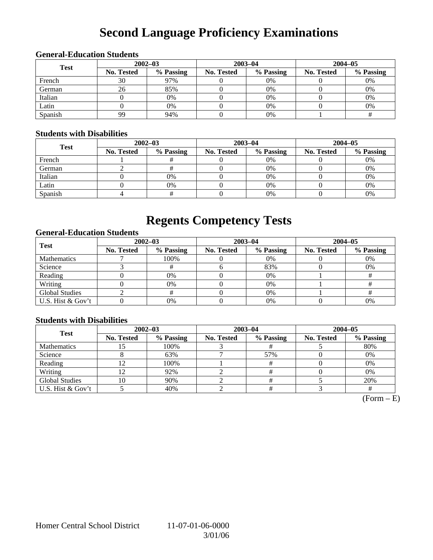# **Second Language Proficiency Examinations**

### **General-Education Students**

| <b>Test</b> |                   | $2002 - 03$ |            | $2003 - 04$ | $2004 - 05$       |           |  |
|-------------|-------------------|-------------|------------|-------------|-------------------|-----------|--|
|             | <b>No. Tested</b> | % Passing   | No. Tested | % Passing   | <b>No. Tested</b> | % Passing |  |
| French      | 30                | 97%         |            | 0%          |                   | 0%        |  |
| German      | 26                | 85%         |            | 0%          |                   | 0%        |  |
| Italian     |                   | 0%          |            | 0%          |                   | 0%        |  |
| Latin       |                   | 0%          |            | 0%          |                   | 0%        |  |
| Spanish     | 99                | 94%         |            | 0%          |                   |           |  |

### **Students with Disabilities**

| <b>Test</b> |            | $2002 - 03$ |            | $2003 - 04$ | $2004 - 05$ |           |  |
|-------------|------------|-------------|------------|-------------|-------------|-----------|--|
|             | No. Tested | % Passing   | No. Tested | % Passing   | No. Tested  | % Passing |  |
| French      |            |             |            | $0\%$       |             | 0%        |  |
| German      |            |             |            | 0%          |             | 0%        |  |
| Italian     |            | 0%          |            | $0\%$       |             | 0%        |  |
| Latin       |            | 0%          |            | $0\%$       |             | 0%        |  |
| Spanish     |            |             |            | $0\%$       |             | 0%        |  |

## **Regents Competency Tests**

### **General-Education Students**

| <b>Test</b>           | $2002 - 03$ |           |            | $2003 - 04$ | $2004 - 05$       |           |  |
|-----------------------|-------------|-----------|------------|-------------|-------------------|-----------|--|
|                       | No. Tested  | % Passing | No. Tested | % Passing   | <b>No. Tested</b> | % Passing |  |
| <b>Mathematics</b>    |             | 100%      |            | $0\%$       |                   | 0%        |  |
| Science               |             |           |            | 83%         |                   | 0%        |  |
| Reading               |             | 0%        |            | $0\%$       |                   |           |  |
| Writing               |             | 0%        |            | 0%          |                   |           |  |
| <b>Global Studies</b> |             |           |            | 0%          |                   |           |  |
| U.S. Hist & Gov't     |             | 0%        |            | 0%          |                   | 0%        |  |

### **Students with Disabilities**

| <b>Test</b>           | $2002 - 03$ |           | $2003 - 04$ |           | $2004 - 05$ |           |  |
|-----------------------|-------------|-----------|-------------|-----------|-------------|-----------|--|
|                       | No. Tested  | % Passing | No. Tested  | % Passing | No. Tested  | % Passing |  |
| <b>Mathematics</b>    |             | 100%      |             |           |             | 80%       |  |
| Science               |             | 63%       |             | 57%       |             | 0%        |  |
| Reading               |             | 100%      |             |           |             | 0%        |  |
| Writing               |             | 92%       |             |           |             | 0%        |  |
| <b>Global Studies</b> | 0           | 90%       |             |           |             | 20%       |  |
| U.S. Hist & Gov't     |             | 40%       |             |           |             |           |  |

 $(Form - E)$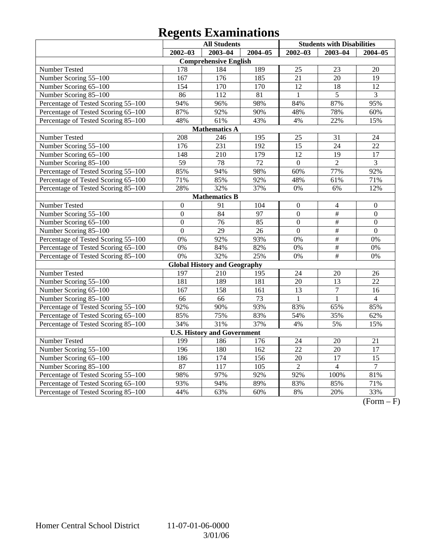# **Regents Examinations**

|                                     | <b>All Students</b> |                                     |                  |                 | <b>Students with Disabilities</b> |                 |  |  |  |  |
|-------------------------------------|---------------------|-------------------------------------|------------------|-----------------|-----------------------------------|-----------------|--|--|--|--|
|                                     | $2002 - 03$         | $2003 - 04$                         | $2004 - 05$      | $2002 - 03$     | $2003 - 04$                       | 2004-05         |  |  |  |  |
|                                     |                     | <b>Comprehensive English</b>        |                  |                 |                                   |                 |  |  |  |  |
| Number Tested                       | 178                 | 184                                 | 189              | 25              | 23                                | 20              |  |  |  |  |
| Number Scoring 55-100               | 167                 | 176                                 | 185              | $\overline{21}$ | $\overline{20}$                   | $\overline{19}$ |  |  |  |  |
| Number Scoring 65-100               | 154                 | 170                                 | 170              | $\overline{12}$ | 18                                | $\overline{12}$ |  |  |  |  |
| Number Scoring 85-100               | 86                  | $\overline{112}$                    | $\overline{81}$  | $\mathbf{1}$    | $\overline{5}$                    | 3               |  |  |  |  |
| Percentage of Tested Scoring 55-100 | 94%                 | 96%                                 | 98%              | 84%             | 87%                               | 95%             |  |  |  |  |
| Percentage of Tested Scoring 65-100 | 87%                 | 92%                                 | 90%              | 48%             | 78%                               | 60%             |  |  |  |  |
| Percentage of Tested Scoring 85-100 | 48%                 | 61%                                 | 43%              | 4%              | 22%                               | 15%             |  |  |  |  |
| <b>Mathematics A</b>                |                     |                                     |                  |                 |                                   |                 |  |  |  |  |
| Number Tested                       | 208                 | 246                                 | $\overline{195}$ | 25              | $\overline{31}$                   | $\overline{24}$ |  |  |  |  |
| Number Scoring 55-100               | 176                 | $\overline{231}$                    | 192              | $\overline{15}$ | 24                                | 22              |  |  |  |  |
| Number Scoring 65-100               | 148                 | 210                                 | 179              | 12              | 19                                | 17              |  |  |  |  |
| Number Scoring 85-100               | 59                  | 78                                  | 72               | $\overline{0}$  | $\overline{2}$                    | 3               |  |  |  |  |
| Percentage of Tested Scoring 55-100 | 85%                 | 94%                                 | 98%              | 60%             | 77%                               | 92%             |  |  |  |  |
| Percentage of Tested Scoring 65-100 | 71%                 | 85%                                 | 92%              | 48%             | 61%                               | 71%             |  |  |  |  |
| Percentage of Tested Scoring 85-100 | 28%                 | 32%                                 | 37%              | 0%              | 6%                                | 12%             |  |  |  |  |
|                                     |                     | <b>Mathematics B</b>                |                  |                 |                                   |                 |  |  |  |  |
| Number Tested                       | $\boldsymbol{0}$    | 91                                  | 104              | $\overline{0}$  | $\overline{4}$                    | $\theta$        |  |  |  |  |
| Number Scoring 55-100               | $\mathbf{0}$        | 84                                  | 97               | $\overline{0}$  | $\overline{\#}$                   | $\mathbf{0}$    |  |  |  |  |
| Number Scoring 65-100               | $\boldsymbol{0}$    | 76                                  | 85               | $\overline{0}$  | $\frac{1}{2}$                     | $\overline{0}$  |  |  |  |  |
| Number Scoring 85-100               | $\overline{0}$      | 29                                  | 26               | $\overline{0}$  | #                                 | $\overline{0}$  |  |  |  |  |
| Percentage of Tested Scoring 55-100 | 0%                  | 92%                                 | 93%              | 0%              | #                                 | 0%              |  |  |  |  |
| Percentage of Tested Scoring 65-100 | 0%                  | 84%                                 | 82%              | 0%              | $\overline{\#}$                   | 0%              |  |  |  |  |
| Percentage of Tested Scoring 85-100 | 0%                  | 32%                                 | 25%              | 0%              | $\overline{\#}$                   | 0%              |  |  |  |  |
|                                     |                     | <b>Global History and Geography</b> |                  |                 |                                   |                 |  |  |  |  |
| Number Tested                       | $19\overline{7}$    | 210                                 | 195              | 24              | 20                                | 26              |  |  |  |  |
| Number Scoring 55-100               | 181                 | 189                                 | 181              | 20              | 13                                | 22              |  |  |  |  |
| Number Scoring 65-100               | 167                 | 158                                 | 161              | 13              | $\sqrt{ }$                        | 16              |  |  |  |  |
| Number Scoring 85-100               | 66                  | 66                                  | $\overline{73}$  | $\mathbf{1}$    | $\mathbf{1}$                      | $\overline{4}$  |  |  |  |  |
| Percentage of Tested Scoring 55-100 | 92%                 | 90%                                 | 93%              | 83%             | 65%                               | 85%             |  |  |  |  |
| Percentage of Tested Scoring 65-100 | 85%                 | 75%                                 | 83%              | 54%             | 35%                               | 62%             |  |  |  |  |
| Percentage of Tested Scoring 85-100 | 34%                 | 31%                                 | 37%              | 4%              | 5%                                | 15%             |  |  |  |  |
| <b>U.S. History and Government</b>  |                     |                                     |                  |                 |                                   |                 |  |  |  |  |
| Number Tested                       | 199                 | 186                                 | 176              | 24              | 20                                | 21              |  |  |  |  |
| Number Scoring 55-100               | 196                 | 180                                 | 162              | 22              | 20                                | 17              |  |  |  |  |
| Number Scoring 65-100               | 186                 | 174                                 | 156              | 20              | 17                                | 15              |  |  |  |  |
| Number Scoring 85-100               | 87                  | $\overline{117}$                    | 105              | $\overline{2}$  | $\overline{4}$                    | $\overline{7}$  |  |  |  |  |
| Percentage of Tested Scoring 55-100 | 98%                 | 97%                                 | 92%              | 92%             | 100%                              | 81%             |  |  |  |  |
| Percentage of Tested Scoring 65-100 | 93%                 | 94%                                 | 89%              | 83%             | 85%                               | 71%             |  |  |  |  |
| Percentage of Tested Scoring 85-100 | 44%                 | 63%                                 | 60%              | 8%              | 20%                               | 33%             |  |  |  |  |

 $\overline{(Form - F)}$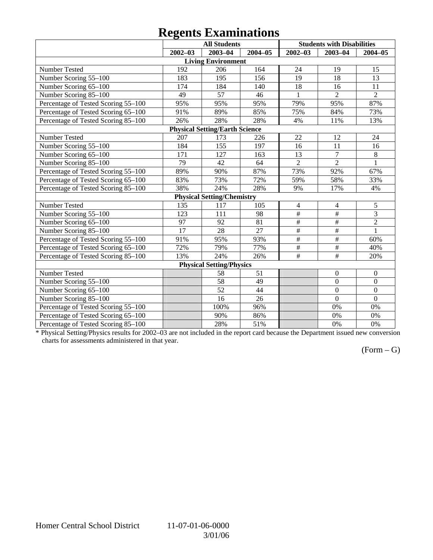# **Regents Examinations**

|                                       |             | <b>All Students</b>               |             |                 | <b>Students with Disabilities</b> |                  |  |  |  |  |
|---------------------------------------|-------------|-----------------------------------|-------------|-----------------|-----------------------------------|------------------|--|--|--|--|
|                                       | $2002 - 03$ | 2003-04                           | $2004 - 05$ | $2002 - 03$     | $2003 - 04$                       | $2004 - 05$      |  |  |  |  |
|                                       |             | <b>Living Environment</b>         |             |                 |                                   |                  |  |  |  |  |
| Number Tested                         | 192         | 206                               | 164         | 24              | 19                                | 15               |  |  |  |  |
| Number Scoring 55-100                 | 183         | 195                               | 156         | 19              | 18                                | 13               |  |  |  |  |
| Number Scoring 65-100                 | 174         | 184                               | 140         | 18              | 16                                | 11               |  |  |  |  |
| Number Scoring 85-100                 | 49          | 57                                | 46          | 1               | $\overline{2}$                    | $\overline{2}$   |  |  |  |  |
| Percentage of Tested Scoring 55-100   | 95%         | 95%                               | 95%         | 79%             | 95%                               | 87%              |  |  |  |  |
| Percentage of Tested Scoring 65-100   | 91%         | 89%                               | 85%         | 75%             | 84%                               | 73%              |  |  |  |  |
| Percentage of Tested Scoring 85-100   | 26%         | 28%                               | 28%         | 4%              | 11%                               | 13%              |  |  |  |  |
| <b>Physical Setting/Earth Science</b> |             |                                   |             |                 |                                   |                  |  |  |  |  |
| Number Tested                         | 207         | 173                               | 226         | 22              | 12                                | 24               |  |  |  |  |
| Number Scoring 55-100                 | 184         | 155                               | 197         | 16              | 11                                | 16               |  |  |  |  |
| Number Scoring 65-100                 | 171         | 127                               | 163         | 13              | $\overline{7}$                    | 8                |  |  |  |  |
| Number Scoring 85-100                 | 79          | 42                                | 64          | $\overline{2}$  | $\overline{2}$                    | $\mathbf{1}$     |  |  |  |  |
| Percentage of Tested Scoring 55-100   | 89%         | 90%                               | 87%         | 73%             | 92%                               | 67%              |  |  |  |  |
| Percentage of Tested Scoring 65-100   | 83%         | 73%                               | 72%         | 59%             | 58%                               | 33%              |  |  |  |  |
| Percentage of Tested Scoring 85-100   | 38%         | 24%                               | 28%         | 9%              | 17%                               | 4%               |  |  |  |  |
|                                       |             | <b>Physical Setting/Chemistry</b> |             |                 |                                   |                  |  |  |  |  |
| Number Tested                         | 135         | 117                               | 105         | 4               | 4                                 | 5                |  |  |  |  |
| Number Scoring 55-100                 | 123         | 111                               | 98          | $\overline{\#}$ | #                                 | $\overline{3}$   |  |  |  |  |
| Number Scoring 65-100                 | 97          | 92                                | 81          | $\overline{\#}$ | $\overline{\#}$                   | $\overline{2}$   |  |  |  |  |
| Number Scoring 85-100                 | 17          | 28                                | 27          | $\overline{\#}$ | #                                 | $\mathbf{1}$     |  |  |  |  |
| Percentage of Tested Scoring 55-100   | 91%         | 95%                               | 93%         | $\overline{\#}$ | $\#$                              | 60%              |  |  |  |  |
| Percentage of Tested Scoring 65-100   | 72%         | 79%                               | 77%         | $\#$            | $\#$                              | 40%              |  |  |  |  |
| Percentage of Tested Scoring 85-100   | 13%         | 24%                               | 26%         | $\#$            | $\#$                              | 20%              |  |  |  |  |
| <b>Physical Setting/Physics</b>       |             |                                   |             |                 |                                   |                  |  |  |  |  |
| Number Tested                         |             | 58                                | 51          |                 | $\boldsymbol{0}$                  | $\boldsymbol{0}$ |  |  |  |  |
| Number Scoring 55-100                 |             | 58                                | 49          |                 | $\mathbf{0}$                      | $\boldsymbol{0}$ |  |  |  |  |
| Number Scoring 65-100                 |             | 52                                | 44          |                 | $\overline{0}$                    | $\overline{0}$   |  |  |  |  |
| Number Scoring 85-100                 |             | 16                                | 26          |                 | $\overline{0}$                    | $\overline{0}$   |  |  |  |  |
| Percentage of Tested Scoring 55-100   |             | 100%                              | 96%         |                 | 0%                                | 0%               |  |  |  |  |
| Percentage of Tested Scoring 65-100   |             | 90%                               | 86%         |                 | 0%                                | 0%               |  |  |  |  |
| Percentage of Tested Scoring 85-100   |             | 28%                               | 51%         |                 | 0%                                | 0%               |  |  |  |  |

\* Physical Setting/Physics results for 2002–03 are not included in the report card because the Department issued new conversion charts for assessments administered in that year.

### $(Form - G)$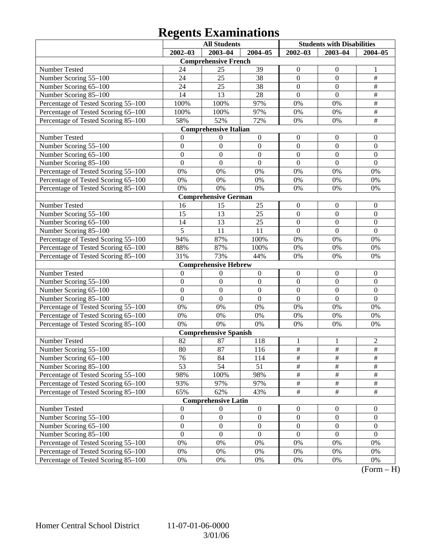# **Regents Examinations**

|                                                                                                                    | <b>All Students</b> |                              |                  | <b>Students with Disabilities</b> |                  |                  |  |  |  |  |  |
|--------------------------------------------------------------------------------------------------------------------|---------------------|------------------------------|------------------|-----------------------------------|------------------|------------------|--|--|--|--|--|
|                                                                                                                    | $2002 - 03$         | $2003 - 04$                  | $2004 - 05$      | $2002 - 03$                       | $2003 - 04$      | $2004 - 05$      |  |  |  |  |  |
|                                                                                                                    |                     | <b>Comprehensive French</b>  |                  |                                   |                  |                  |  |  |  |  |  |
| Number Tested                                                                                                      | 24                  | 25                           | 39               | $\boldsymbol{0}$                  | $\boldsymbol{0}$ | 1                |  |  |  |  |  |
| Number Scoring 55-100                                                                                              | 24                  | 25                           | 38               | $\boldsymbol{0}$                  | $\mathbf{0}$     | $\frac{1}{2}$    |  |  |  |  |  |
| Number Scoring 65-100                                                                                              | 24                  | 25                           | 38               | $\boldsymbol{0}$                  | $\mathbf{0}$     | $\overline{\#}$  |  |  |  |  |  |
| Number Scoring 85-100                                                                                              | 14                  | 13                           | 28               | $\boldsymbol{0}$                  | $\mathbf{0}$     | $\overline{\#}$  |  |  |  |  |  |
| Percentage of Tested Scoring 55-100                                                                                | 100%                | 100%                         | 97%              | 0%                                | 0%               | $\overline{\#}$  |  |  |  |  |  |
| Percentage of Tested Scoring 65-100                                                                                | 100%                | 100%                         | 97%              | 0%                                | 0%               | $\overline{\#}$  |  |  |  |  |  |
| Percentage of Tested Scoring 85-100                                                                                | 58%                 | 52%                          | 72%              | 0%                                | 0%               | $\overline{\#}$  |  |  |  |  |  |
| <b>Comprehensive Italian</b>                                                                                       |                     |                              |                  |                                   |                  |                  |  |  |  |  |  |
| Number Tested<br>0<br>$\boldsymbol{0}$<br>$\boldsymbol{0}$<br>$\boldsymbol{0}$<br>$\mathbf{0}$<br>$\boldsymbol{0}$ |                     |                              |                  |                                   |                  |                  |  |  |  |  |  |
| Number Scoring 55-100                                                                                              | $\boldsymbol{0}$    | $\boldsymbol{0}$             | $\boldsymbol{0}$ | $\boldsymbol{0}$                  | $\boldsymbol{0}$ | $\boldsymbol{0}$ |  |  |  |  |  |
| Number Scoring 65-100                                                                                              | $\boldsymbol{0}$    | $\boldsymbol{0}$             | $\boldsymbol{0}$ | $\boldsymbol{0}$                  | $\overline{0}$   | $\boldsymbol{0}$ |  |  |  |  |  |
| Number Scoring 85-100                                                                                              | $\mathbf{0}$        | $\boldsymbol{0}$             | $\mathbf{0}$     | $\mathbf{0}$                      | $\mathbf{0}$     | $\mathbf{0}$     |  |  |  |  |  |
| Percentage of Tested Scoring 55-100                                                                                | 0%                  | 0%                           | 0%               | 0%                                | 0%               | 0%               |  |  |  |  |  |
| Percentage of Tested Scoring 65-100                                                                                | 0%                  | 0%                           | $0\%$            | 0%                                | 0%               | 0%               |  |  |  |  |  |
| Percentage of Tested Scoring 85-100                                                                                | 0%                  | 0%                           | 0%               | 0%                                | 0%               | 0%               |  |  |  |  |  |
|                                                                                                                    |                     | <b>Comprehensive German</b>  |                  |                                   |                  |                  |  |  |  |  |  |
| Number Tested                                                                                                      | 16                  | 15                           | 25               | $\boldsymbol{0}$                  | $\boldsymbol{0}$ | $\mathbf{0}$     |  |  |  |  |  |
| Number Scoring 55-100                                                                                              | 15                  | 13                           | 25               | $\boldsymbol{0}$                  | $\boldsymbol{0}$ | $\boldsymbol{0}$ |  |  |  |  |  |
| Number Scoring 65-100                                                                                              | 14                  | 13                           | 25               | $\boldsymbol{0}$                  | $\overline{0}$   | $\boldsymbol{0}$ |  |  |  |  |  |
| Number Scoring 85-100                                                                                              | $\overline{5}$      | 11                           | 11               | $\mathbf{0}$                      | $\overline{0}$   | $\overline{0}$   |  |  |  |  |  |
| Percentage of Tested Scoring 55-100                                                                                | 94%                 | 87%                          | 100%             | 0%                                | 0%               | 0%               |  |  |  |  |  |
| Percentage of Tested Scoring 65-100                                                                                | 88%                 | 87%                          | 100%             | 0%                                | 0%               | 0%               |  |  |  |  |  |
| Percentage of Tested Scoring 85-100                                                                                | 31%                 | 73%                          | 44%              | 0%                                | 0%               | 0%               |  |  |  |  |  |
|                                                                                                                    |                     | <b>Comprehensive Hebrew</b>  |                  |                                   |                  |                  |  |  |  |  |  |
| Number Tested                                                                                                      | $\boldsymbol{0}$    | $\boldsymbol{0}$             | $\boldsymbol{0}$ | $\boldsymbol{0}$                  | $\boldsymbol{0}$ | $\mathbf{0}$     |  |  |  |  |  |
| Number Scoring 55-100                                                                                              | $\boldsymbol{0}$    | $\boldsymbol{0}$             | $\boldsymbol{0}$ | $\boldsymbol{0}$                  | $\boldsymbol{0}$ | $\boldsymbol{0}$ |  |  |  |  |  |
| Number Scoring 65-100                                                                                              | $\boldsymbol{0}$    | $\boldsymbol{0}$             | $\boldsymbol{0}$ | $\boldsymbol{0}$                  | $\boldsymbol{0}$ | $\boldsymbol{0}$ |  |  |  |  |  |
| Number Scoring 85-100                                                                                              | $\overline{0}$      | $\boldsymbol{0}$             | $\mathbf{0}$     | $\mathbf{0}$                      | $\overline{0}$   | $\overline{0}$   |  |  |  |  |  |
| Percentage of Tested Scoring 55-100                                                                                | 0%                  | 0%                           | 0%               | 0%                                | 0%               | 0%               |  |  |  |  |  |
| Percentage of Tested Scoring 65-100                                                                                | 0%                  | 0%                           | $0\%$            | 0%                                | 0%               | 0%               |  |  |  |  |  |
| Percentage of Tested Scoring 85-100                                                                                | 0%                  | 0%                           | $0\%$            | 0%                                | 0%               | 0%               |  |  |  |  |  |
|                                                                                                                    |                     | <b>Comprehensive Spanish</b> |                  |                                   |                  |                  |  |  |  |  |  |
| Number Tested                                                                                                      | 82                  | 87                           | 118              | 1                                 | 1                | $\overline{c}$   |  |  |  |  |  |
| Number Scoring 55-100                                                                                              | 80                  | 87                           | 116              | $\overline{\#}$                   | $\overline{\#}$  | $\overline{\#}$  |  |  |  |  |  |
| Number Scoring 65-100                                                                                              | 76                  | 84                           | 114              | #                                 | #                | #                |  |  |  |  |  |
| Number Scoring 85-100                                                                                              | 53                  | 54                           | 51               | $\overline{\#}$                   | $\overline{\#}$  | $\overline{\#}$  |  |  |  |  |  |
| Percentage of Tested Scoring 55-100                                                                                | 98%                 | 100%                         | 98%              | $\frac{1}{2}$                     | $\frac{1}{2}$    | $\#$             |  |  |  |  |  |
| Percentage of Tested Scoring 65-100                                                                                | 93%                 | 97%                          | 97%              | $\frac{1}{2}$                     | $\frac{1}{2}$    | #                |  |  |  |  |  |
| Percentage of Tested Scoring 85-100                                                                                | 65%                 | 62%                          | 43%              | $\frac{1}{2}$                     | $\overline{\#}$  | $\overline{\#}$  |  |  |  |  |  |
|                                                                                                                    |                     | <b>Comprehensive Latin</b>   |                  |                                   |                  |                  |  |  |  |  |  |
| Number Tested                                                                                                      | $\boldsymbol{0}$    | $\boldsymbol{0}$             | $\boldsymbol{0}$ | $\boldsymbol{0}$                  | $\mathbf{0}$     | $\overline{0}$   |  |  |  |  |  |
| Number Scoring 55-100                                                                                              | $\boldsymbol{0}$    | $\boldsymbol{0}$             | $\boldsymbol{0}$ | $\boldsymbol{0}$                  | $\boldsymbol{0}$ | $\boldsymbol{0}$ |  |  |  |  |  |
| Number Scoring 65-100                                                                                              | $\boldsymbol{0}$    | $\boldsymbol{0}$             | $\boldsymbol{0}$ | $\boldsymbol{0}$                  | $\boldsymbol{0}$ | $\boldsymbol{0}$ |  |  |  |  |  |
| Number Scoring 85-100                                                                                              | $\boldsymbol{0}$    | $\boldsymbol{0}$             | $\boldsymbol{0}$ | $\boldsymbol{0}$                  | $\boldsymbol{0}$ | $\boldsymbol{0}$ |  |  |  |  |  |
| Percentage of Tested Scoring 55-100                                                                                | 0%                  | 0%                           | 0%               | 0%                                | 0%               | 0%               |  |  |  |  |  |
| Percentage of Tested Scoring 65-100                                                                                | 0%                  | 0%                           | 0%               | 0%                                | 0%               | 0%               |  |  |  |  |  |
| Percentage of Tested Scoring 85-100                                                                                | $0\%$               | 0%                           | 0%               | 0%                                | 0%               | 0%               |  |  |  |  |  |

 $(Form - H)$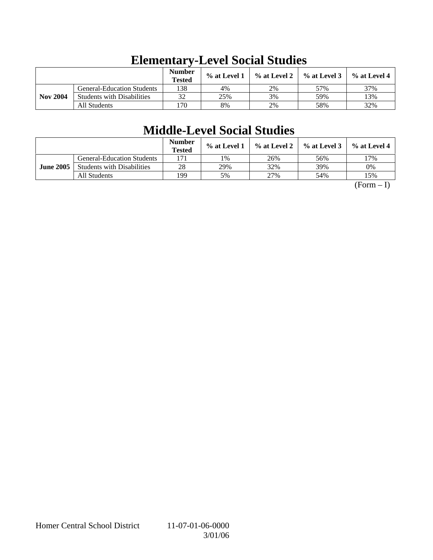|                 |                                   | <b>Number</b><br><b>Tested</b> | % at Level 1 | % at Level 2 | $\%$ at Level 3 | $\%$ at Level 4 |
|-----------------|-----------------------------------|--------------------------------|--------------|--------------|-----------------|-----------------|
|                 | <b>General-Education Students</b> | 138                            | 4%           | 2%           | 57%             | 37%             |
| <b>Nov 2004</b> | <b>Students with Disabilities</b> | 32                             | 25%          | 3%           | 59%             | 13%             |
|                 | All Students                      | 170                            | 8%           | 2%           | 58%             | 32%             |

# **Elementary-Level Social Studies**

# **Middle-Level Social Studies**

|                  |                                   | <b>Number</b><br><b>Tested</b> | % at Level 1 | % at Level 2 | $%$ at Level 3 | $\%$ at Level 4 |
|------------------|-----------------------------------|--------------------------------|--------------|--------------|----------------|-----------------|
|                  | <b>General-Education Students</b> | 171                            | 1%           | 26%          | 56%            | 17%             |
| <b>June 2005</b> | <b>Students with Disabilities</b> | 28                             | 29%          | 32%          | 39%            | 0%              |
|                  | All Students                      | 199                            | 5%           | 27%          | 54%            | 15%             |

 $(Form - I)$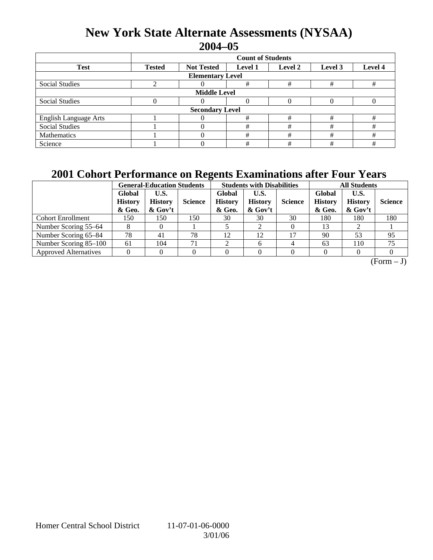### **New York State Alternate Assessments (NYSAA) 2004–05**

|                              | <b>Count of Students</b> |                        |                |         |         |         |  |  |  |  |
|------------------------------|--------------------------|------------------------|----------------|---------|---------|---------|--|--|--|--|
| <b>Test</b>                  | <b>Tested</b>            | <b>Not Tested</b>      | <b>Level 1</b> | Level 2 | Level 3 | Level 4 |  |  |  |  |
| <b>Elementary Level</b>      |                          |                        |                |         |         |         |  |  |  |  |
| <b>Social Studies</b>        |                          |                        | #              | #       | #       | #       |  |  |  |  |
| <b>Middle Level</b>          |                          |                        |                |         |         |         |  |  |  |  |
| <b>Social Studies</b>        |                          |                        | 0              |         |         |         |  |  |  |  |
|                              |                          | <b>Secondary Level</b> |                |         |         |         |  |  |  |  |
| <b>English Language Arts</b> |                          |                        | #              | #       | #       | #       |  |  |  |  |
| <b>Social Studies</b>        |                          |                        | #              | #       | #       | #       |  |  |  |  |
| Mathematics                  |                          |                        | #              | #       | #       | #       |  |  |  |  |
| Science                      |                          |                        | #              | #       | #       | #       |  |  |  |  |

### **2001 Cohort Performance on Regents Examinations after Four Years**

|                              |                                    | <b>General-Education Students</b>    |                |                                    | <b>Students with Disabilities</b>    |                | <b>All Students</b>                |                                   |                |
|------------------------------|------------------------------------|--------------------------------------|----------------|------------------------------------|--------------------------------------|----------------|------------------------------------|-----------------------------------|----------------|
|                              | Global<br><b>History</b><br>& Geo. | U.S.<br><b>History</b><br>$\&$ Gov't | <b>Science</b> | Global<br><b>History</b><br>& Geo. | U.S.<br><b>History</b><br>$\&$ Gov't | <b>Science</b> | Global<br><b>History</b><br>& Geo. | U.S.<br><b>History</b><br>& Gov't | <b>Science</b> |
| <b>Cohort Enrollment</b>     | 150                                | 150                                  | 150            | 30                                 | 30                                   | 30             | 180                                | 180                               | 180            |
| Number Scoring 55–64         |                                    |                                      |                |                                    |                                      |                | 13                                 |                                   |                |
| Number Scoring 65–84         | 78                                 | 41                                   | 78             | 12                                 | 12                                   | 17             | 90                                 | 53                                | 95             |
| Number Scoring 85–100        | 61                                 | 104                                  | 71             | ◠                                  | 6                                    |                | 63                                 | 110                               | 75             |
| <b>Approved Alternatives</b> |                                    |                                      |                |                                    |                                      |                |                                    |                                   |                |

 $(Form - J)$